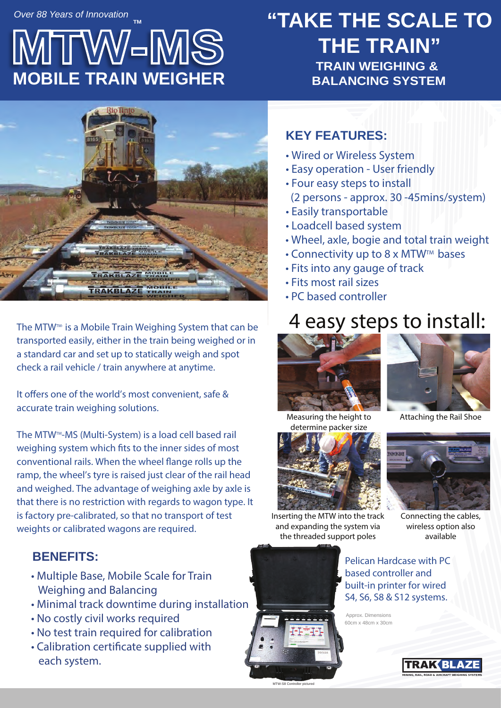*Over 88 Years of Innovation* **TM**

# **AMS MOBILE TRAIN WEIGHER**

## **"TAKE THE SCALE TO THE TRAIN" TRAIN WEIGHING &**



The MTW<sup>™</sup> is a Mobile Train Weighing System that can be transported easily, either in the train being weighed or in a standard car and set up to statically weigh and spot check a rail vehicle / train anywhere at anytime.

It offers one of the world's most convenient, safe & accurate train weighing solutions.

The MTW<sup>™</sup>-MS (Multi-System) is a load cell based rail weighing system which fits to the inner sides of most conventional rails. When the wheel flange rolls up the ramp, the wheel's tyre is raised just clear of the rail head and weighed. The advantage of weighing axle by axle is that there is no restriction with regards to wagon type. It is factory pre-calibrated, so that no transport of test weights or calibrated wagons are required.

#### **BENEFITS:**

- Multiple Base, Mobile Scale for Train Weighing and Balancing
- Minimal track downtime during installation
- No costly civil works required
- No test train required for calibration
- Calibration certificate supplied with each system.

#### **KEY FEATURES:**

- Wired or Wireless System
- Easy operation User friendly
- Four easy steps to install (2 persons - approx. 30 -45mins/system)
- Easily transportable
- Loadcell based system
- Wheel, axle, bogie and total train weight
- Connectivity up to 8 x MTW<sup>™</sup> bases
- Fits into any gauge of track
- Fits most rail sizes
- PC based controller

## 4 easy steps to install:





Measuring the height to determine packer size



Inserting the MTW into the track and expanding the system via

MTW-S8 Controller pictured

Connecting the cables, wireless option also available

the threaded support poles

Pelican Hardcase with PC based controller and built-in printer for wired S4, S6, S8 & S12 systems.

Approx. Dimensions 60cm x 48cm x 30cm